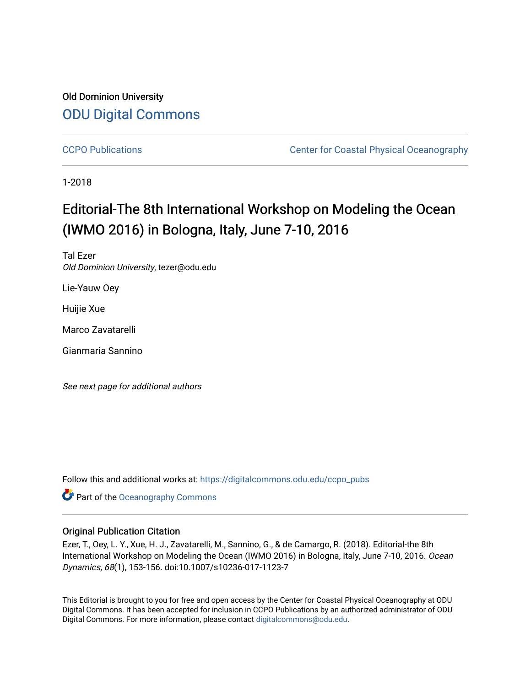## Old Dominion University [ODU Digital Commons](https://digitalcommons.odu.edu/)

[CCPO Publications](https://digitalcommons.odu.edu/ccpo_pubs) **CCPO** Publications **CCPO** Publications **CCPO** Publications **CCPO** Publications **CCPO** Publications **CCPO** Publications **CCPO** Publications **CCPO** Publications **CCPO CCPO CCPO CCP** 

1-2018

# Editorial-The 8th International Workshop on Modeling the Ocean (IWMO 2016) in Bologna, Italy, June 7-10, 2016

Tal Ezer Old Dominion University, tezer@odu.edu

Lie-Yauw Oey

Huijie Xue

Marco Zavatarelli

Gianmaria Sannino

See next page for additional authors

Follow this and additional works at: [https://digitalcommons.odu.edu/ccpo\\_pubs](https://digitalcommons.odu.edu/ccpo_pubs?utm_source=digitalcommons.odu.edu%2Fccpo_pubs%2F219&utm_medium=PDF&utm_campaign=PDFCoverPages)

**Part of the Oceanography Commons** 

### Original Publication Citation

Ezer, T., Oey, L. Y., Xue, H. J., Zavatarelli, M., Sannino, G., & de Camargo, R. (2018). Editorial-the 8th International Workshop on Modeling the Ocean (IWMO 2016) in Bologna, Italy, June 7-10, 2016. Ocean Dynamics, 68(1), 153-156. doi:10.1007/s10236-017-1123-7

This Editorial is brought to you for free and open access by the Center for Coastal Physical Oceanography at ODU Digital Commons. It has been accepted for inclusion in CCPO Publications by an authorized administrator of ODU Digital Commons. For more information, please contact [digitalcommons@odu.edu.](mailto:digitalcommons@odu.edu)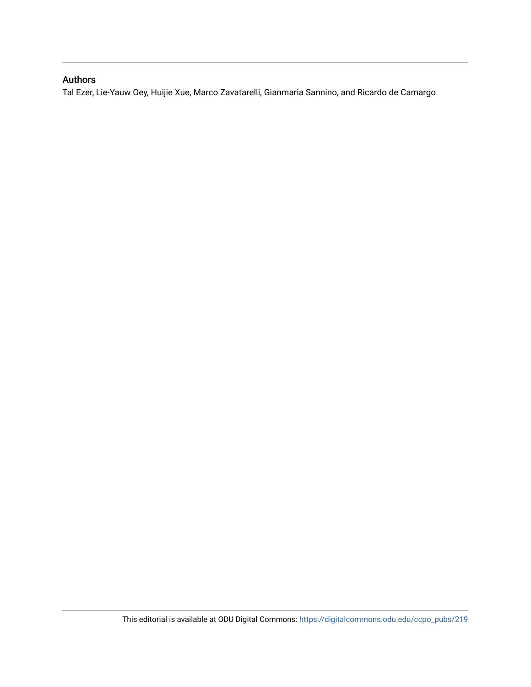### Authors

Tal Ezer, Lie-Yauw Oey, Huijie Xue, Marco Zavatarelli, Gianmaria Sannino, and Ricardo de Camargo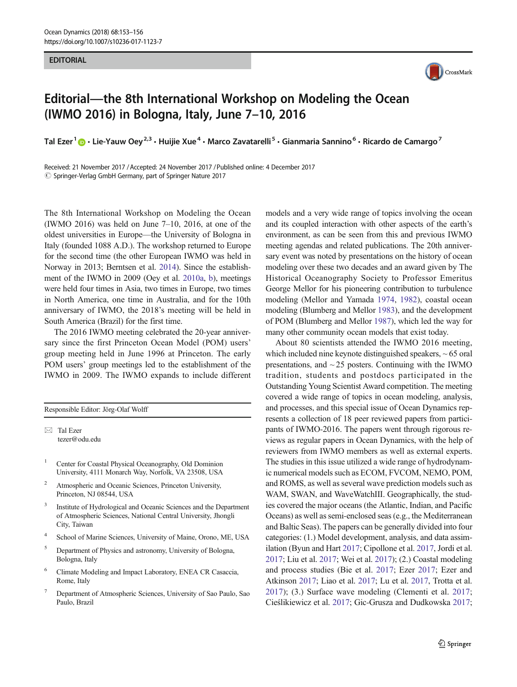#### **EDITORIAL**



# Editorial—the 8th International Workshop on Modeling the Ocean (IWMO 2016) in Bologna, Italy, June 7–10, 2016

Tal Ezer<sup>1</sup>  $\cdot$  Lie-Yauw Oey<sup>2,3</sup> • Huijie Xue<sup>4</sup> • Marco Zavatarelli<sup>5</sup> • Gianmaria Sannino<sup>6</sup> • Ricardo de Camargo<sup>7</sup>

Received: 21 November 2017 /Accepted: 24 November 2017 /Published online: 4 December 2017  $\circled{c}$  Springer-Verlag GmbH Germany, part of Springer Nature 2017

The 8th International Workshop on Modeling the Ocean (IWMO 2016) was held on June  $7-10$ , 2016, at one of the oldest universities in Europe—the University of Bologna in Italy (founded 1088 A.D.). The workshop returned to Europe for the second time (the other European IWMO was held in Norway in 2013; Berntsen et al. [2014](#page-4-0)). Since the establishment of the IWMO in 2009 (Oey et al. [2010a,](#page-5-0) [b](#page-5-0)), meetings were held four times in Asia, two times in Europe, two times in North America, one time in Australia, and for the 10th anniversary of IWMO, the 2018's meeting will be held in South America (Brazil) for the first time.

The 2016 IWMO meeting celebrated the 20-year anniversary since the first Princeton Ocean Model (POM) users' group meeting held in June 1996 at Princeton. The early POM users' group meetings led to the establishment of the IWMO in 2009. The IWMO expands to include different

Responsible Editor: Jörg-Olaf Wolff

 $\boxtimes$  Tal Ezer [tezer@odu.edu](mailto:tezer@odu.edu)

- <sup>1</sup> Center for Coastal Physical Oceanography, Old Dominion University, 4111 Monarch Way, Norfolk, VA 23508, USA
- Atmospheric and Oceanic Sciences, Princeton University, Princeton, NJ 08544, USA
- <sup>3</sup> Institute of Hydrological and Oceanic Sciences and the Department of Atmospheric Sciences, National Central University, Jhongli City, Taiwan
- <sup>4</sup> School of Marine Sciences, University of Maine, Orono, ME, USA
- <sup>5</sup> Department of Physics and astronomy, University of Bologna, Bologna, Italy
- <sup>6</sup> Climate Modeling and Impact Laboratory, ENEA CR Casaccia, Rome, Italy
- <sup>7</sup> Department of Atmospheric Sciences, University of Sao Paulo, Sao Paulo, Brazil

models and a very wide range of topics involving the ocean and its coupled interaction with other aspects of the earth's environment, as can be seen from this and previous IWMO meeting agendas and related publications. The 20th anniversary event was noted by presentations on the history of ocean modeling over these two decades and an award given by The Historical Oceanography Society to Professor Emeritus George Mellor for his pioneering contribution to turbulence modeling (Mellor and Yamada [1974,](#page-5-0) [1982\)](#page-5-0), coastal ocean modeling (Blumberg and Mellor [1983\)](#page-4-0), and the development of POM (Blumberg and Mellor [1987\)](#page-4-0), which led the way for many other community ocean models that exist today.

About 80 scientists attended the IWMO 2016 meeting, which included nine keynote distinguished speakers, ~ 65 oral presentations, and ~ 25 posters. Continuing with the IWMO tradition, students and postdocs participated in the Outstanding Young Scientist Award competition. The meeting covered a wide range of topics in ocean modeling, analysis, and processes, and this special issue of Ocean Dynamics represents a collection of 18 peer reviewed papers from participants of IWMO-2016. The papers went through rigorous reviews as regular papers in Ocean Dynamics, with the help of reviewers from IWMO members as well as external experts. The studies in this issue utilized a wide range of hydrodynamic numerical models such as ECOM, FVCOM, NEMO, POM, and ROMS, as well as several wave prediction models such as WAM, SWAN, and WaveWatchIII. Geographically, the studies covered the major oceans (the Atlantic, Indian, and Pacific Oceans) as well as semi-enclosed seas (e.g., the Mediterranean and Baltic Seas). The papers can be generally divided into four categories: (1.) Model development, analysis, and data assimilation (Byun and Hart [2017](#page-4-0); Cipollone et al. [2017,](#page-4-0) Jordi et al. [2017;](#page-4-0) Liu et al. [2017;](#page-4-0) Wei et al. [2017\)](#page-5-0); (2.) Coastal modeling and process studies (Bie et al. [2017;](#page-4-0) Ezer [2017;](#page-4-0) Ezer and Atkinson [2017](#page-4-0); Liao et al. [2017](#page-4-0); Lu et al. [2017,](#page-4-0) Trotta et al. [2017](#page-5-0)); (3.) Surface wave modeling (Clementi et al. [2017;](#page-4-0) Cieślikiewicz et al. [2017;](#page-4-0) Gic-Grusza and Dudkowska [2017;](#page-4-0)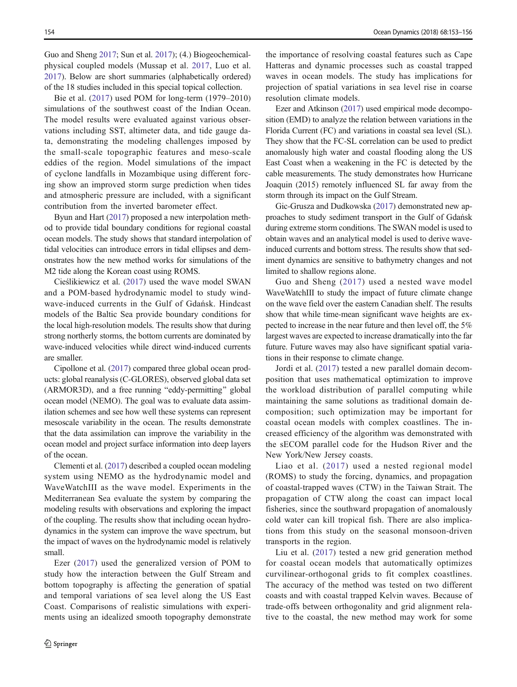Guo and Sheng [2017](#page-4-0); Sun et al. [2017](#page-5-0)); (4.) Biogeochemicalphysical coupled models (Mussap et al. [2017,](#page-5-0) Luo et al. [2017\)](#page-5-0). Below are short summaries (alphabetically ordered) of the 18 studies included in this special topical collection.

Bie et al. ([2017](#page-4-0)) used POM for long-term (1979–2010) simulations of the southwest coast of the Indian Ocean. The model results were evaluated against various observations including SST, altimeter data, and tide gauge data, demonstrating the modeling challenges imposed by the small-scale topographic features and meso-scale eddies of the region. Model simulations of the impact of cyclone landfalls in Mozambique using different forcing show an improved storm surge prediction when tides and atmospheric pressure are included, with a significant contribution from the inverted barometer effect.

Byun and Hart ([2017](#page-4-0)) proposed a new interpolation method to provide tidal boundary conditions for regional coastal ocean models. The study shows that standard interpolation of tidal velocities can introduce errors in tidal ellipses and demonstrates how the new method works for simulations of the M2 tide along the Korean coast using ROMS.

Cieślikiewicz et al. [\(2017](#page-4-0)) used the wave model SWAN and a POM-based hydrodynamic model to study windwave-induced currents in the Gulf of Gdańsk. Hindcast models of the Baltic Sea provide boundary conditions for the local high-resolution models. The results show that during strong northerly storms, the bottom currents are dominated by wave-induced velocities while direct wind-induced currents are smaller.

Cipollone et al. ([2017](#page-4-0)) compared three global ocean products: global reanalysis (C-GLORES), observed global data set (ARMOR3D), and a free running "eddy-permitting" global ocean model (NEMO). The goal was to evaluate data assimilation schemes and see how well these systems can represent mesoscale variability in the ocean. The results demonstrate that the data assimilation can improve the variability in the ocean model and project surface information into deep layers of the ocean.

Clementi et al. ([2017](#page-4-0)) described a coupled ocean modeling system using NEMO as the hydrodynamic model and WaveWatchIII as the wave model. Experiments in the Mediterranean Sea evaluate the system by comparing the modeling results with observations and exploring the impact of the coupling. The results show that including ocean hydrodynamics in the system can improve the wave spectrum, but the impact of waves on the hydrodynamic model is relatively small.

Ezer ([2017\)](#page-4-0) used the generalized version of POM to study how the interaction between the Gulf Stream and bottom topography is affecting the generation of spatial and temporal variations of sea level along the US East Coast. Comparisons of realistic simulations with experiments using an idealized smooth topography demonstrate the importance of resolving coastal features such as Cape Hatteras and dynamic processes such as coastal trapped waves in ocean models. The study has implications for projection of spatial variations in sea level rise in coarse resolution climate models.

Ezer and Atkinson [\(2017\)](#page-4-0) used empirical mode decomposition (EMD) to analyze the relation between variations in the Florida Current (FC) and variations in coastal sea level (SL). They show that the FC-SL correlation can be used to predict anomalously high water and coastal flooding along the US East Coast when a weakening in the FC is detected by the cable measurements. The study demonstrates how Hurricane Joaquin (2015) remotely influenced SL far away from the storm through its impact on the Gulf Stream.

Gic-Grusza and Dudkowska [\(2017\)](#page-4-0) demonstrated new approaches to study sediment transport in the Gulf of Gdańsk during extreme storm conditions. The SWAN model is used to obtain waves and an analytical model is used to derive waveinduced currents and bottom stress. The results show that sediment dynamics are sensitive to bathymetry changes and not limited to shallow regions alone.

Guo and Sheng ([2017](#page-4-0)) used a nested wave model WaveWatchIII to study the impact of future climate change on the wave field over the eastern Canadian shelf. The results show that while time-mean significant wave heights are expected to increase in the near future and then level off, the 5% largest waves are expected to increase dramatically into the far future. Future waves may also have significant spatial variations in their response to climate change.

Jordi et al. ([2017](#page-4-0)) tested a new parallel domain decomposition that uses mathematical optimization to improve the workload distribution of parallel computing while maintaining the same solutions as traditional domain decomposition; such optimization may be important for coastal ocean models with complex coastlines. The increased efficiency of the algorithm was demonstrated with the sECOM parallel code for the Hudson River and the New York/New Jersey coasts.

Liao et al. ([2017](#page-4-0)) used a nested regional model (ROMS) to study the forcing, dynamics, and propagation of coastal-trapped waves (CTW) in the Taiwan Strait. The propagation of CTW along the coast can impact local fisheries, since the southward propagation of anomalously cold water can kill tropical fish. There are also implications from this study on the seasonal monsoon-driven transports in the region.

Liu et al. [\(2017\)](#page-4-0) tested a new grid generation method for coastal ocean models that automatically optimizes curvilinear-orthogonal grids to fit complex coastlines. The accuracy of the method was tested on two different coasts and with coastal trapped Kelvin waves. Because of trade-offs between orthogonality and grid alignment relative to the coastal, the new method may work for some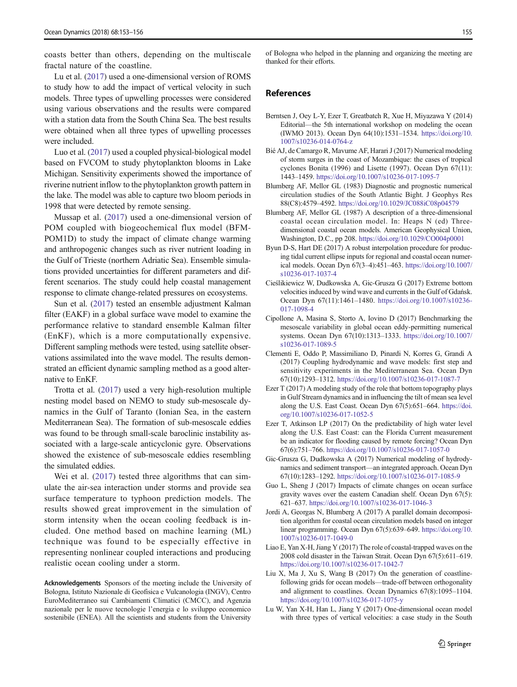<span id="page-4-0"></span>coasts better than others, depending on the multiscale fractal nature of the coastline.

Lu et al. (2017) used a one-dimensional version of ROMS to study how to add the impact of vertical velocity in such models. Three types of upwelling processes were considered using various observations and the results were compared with a station data from the South China Sea. The best results were obtained when all three types of upwelling processes were included.

Luo et al. [\(2017\)](#page-5-0) used a coupled physical-biological model based on FVCOM to study phytoplankton blooms in Lake Michigan. Sensitivity experiments showed the importance of riverine nutrient inflow to the phytoplankton growth pattern in the lake. The model was able to capture two bloom periods in 1998 that were detected by remote sensing.

Mussap et al. ([2017](#page-5-0)) used a one-dimensional version of POM coupled with biogeochemical flux model (BFM-POM1D) to study the impact of climate change warming and anthropogenic changes such as river nutrient loading in the Gulf of Trieste (northern Adriatic Sea). Ensemble simulations provided uncertainties for different parameters and different scenarios. The study could help coastal management response to climate change-related pressures on ecosystems.

Sun et al. [\(2017](#page-5-0)) tested an ensemble adjustment Kalman filter (EAKF) in a global surface wave model to examine the performance relative to standard ensemble Kalman filter (EnKF), which is a more computationally expensive. Different sampling methods were tested, using satellite observations assimilated into the wave model. The results demonstrated an efficient dynamic sampling method as a good alternative to EnKF.

Trotta et al. [\(2017\)](#page-5-0) used a very high-resolution multiple nesting model based on NEMO to study sub-mesoscale dynamics in the Gulf of Taranto (Ionian Sea, in the eastern Mediterranean Sea). The formation of sub-mesoscale eddies was found to be through small-scale baroclinic instability associated with a large-scale anticyclonic gyre. Observations showed the existence of sub-mesoscale eddies resembling the simulated eddies.

Wei et al. ([2017](#page-5-0)) tested three algorithms that can simulate the air-sea interaction under storms and provide sea surface temperature to typhoon prediction models. The results showed great improvement in the simulation of storm intensity when the ocean cooling feedback is included. One method based on machine learning (ML) technique was found to be especially effective in representing nonlinear coupled interactions and producing realistic ocean cooling under a storm.

Acknowledgements Sponsors of the meeting include the University of Bologna, Istituto Nazionale di Geofisica e Vulcanologia (INGV), Centro EuroMediterraneo sui Cambiamenti Climatici (CMCC), and Agenzia nazionale per le nuove tecnologie l'energia e lo sviluppo economico sostenibile (ENEA). All the scientists and students from the University

of Bologna who helped in the planning and organizing the meeting are thanked for their efforts.

#### References

- Berntsen J, Oey L-Y, Ezer T, Greatbatch R, Xue H, Miyazawa Y (2014) Editorial—the 5th international workshop on modeling the ocean (IWMO 2013). Ocean Dyn 64(10):1531–1534. [https://doi.org/10.](https://doi.org/10.1007/s10236-014-0764-z) [1007/s10236-014-0764-z](https://doi.org/10.1007/s10236-014-0764-z)
- Bié AJ, de Camargo R, Mavume AF, Harari J (2017) Numerical modeling of storm surges in the coast of Mozambique: the cases of tropical cyclones Bonita (1996) and Lisette (1997). Ocean Dyn 67(11): 1443–1459. <https://doi.org/10.1007/s10236-017-1095-7>
- Blumberg AF, Mellor GL (1983) Diagnostic and prognostic numerical circulation studies of the South Atlantic Bight. J Geophys Res 88(C8):4579–4592. <https://doi.org/10.1029/JC088iC08p04579>
- Blumberg AF, Mellor GL (1987) A description of a three-dimensional coastal ocean circulation model. In: Heaps N (ed) Threedimensional coastal ocean models. American Geophysical Union, Washington, D.C., pp 208. <https://doi.org/10.1029/CO004p0001>
- Byun D-S, Hart DE (2017) A robust interpolation procedure for producing tidal current ellipse inputs for regional and coastal ocean numerical models. Ocean Dyn 67(3–4):451–463. [https://doi.org/10.1007/](https://doi.org/10.1007/s10236-017-1037-4) [s10236-017-1037-4](https://doi.org/10.1007/s10236-017-1037-4)
- Cieślikiewicz W, Dudkowska A, Gic-Grusza G (2017) Extreme bottom velocities induced by wind wave and currents in the Gulf of Gdańsk. Ocean Dyn 67(11):1461–1480. [https://doi.org/10.1007/s10236-](https://doi.org/10.1007/s10236-017-1098-4) [017-1098-4](https://doi.org/10.1007/s10236-017-1098-4)
- Cipollone A, Masina S, Storto A, Iovino D (2017) Benchmarking the mesoscale variability in global ocean eddy-permitting numerical systems. Ocean Dyn 67(10):1313–1333. [https://doi.org/10.1007/](https://doi.org/10.1007/s10236-017-1089-5) [s10236-017-1089-5](https://doi.org/10.1007/s10236-017-1089-5)
- Clementi E, Oddo P, Massimiliano D, Pinardi N, Korres G, Grandi A (2017) Coupling hydrodynamic and wave models: first step and sensitivity experiments in the Mediterranean Sea. Ocean Dyn 67(10):1293–1312. <https://doi.org/10.1007/s10236-017-1087-7>
- Ezer T (2017) A modeling study of the role that bottom topography plays in Gulf Stream dynamics and in influencing the tilt of mean sea level along the U.S. East Coast. Ocean Dyn 67(5):651–664. [https://doi.](https://doi.org/10.1007/s10236-017-1052-5) [org/10.1007/s10236-017-1052-5](https://doi.org/10.1007/s10236-017-1052-5)
- Ezer T, Atkinson LP (2017) On the predictability of high water level along the U.S. East Coast: can the Florida Current measurement be an indicator for flooding caused by remote forcing? Ocean Dyn 67(6):751–766. <https://doi.org/10.1007/s10236-017-1057-0>
- Gic-Grusza G, Dudkowska A (2017) Numerical modeling of hydrodynamics and sediment transport—an integrated approach. Ocean Dyn 67(10):1283–1292. <https://doi.org/10.1007/s10236-017-1085-9>
- Guo L, Sheng J (2017) Impacts of climate changes on ocean surface gravity waves over the eastern Canadian shelf. Ocean Dyn 67(5): 621–637. <https://doi.org/10.1007/s10236-017-1046-3>
- Jordi A, Georgas N, Blumberg A (2017) A parallel domain decomposition algorithm for coastal ocean circulation models based on integer linear programming. Ocean Dyn 67(5):639–649. [https://doi.org/10.](https://doi.org/10.1007/s10236-017-1049-0) [1007/s10236-017-1049-0](https://doi.org/10.1007/s10236-017-1049-0)
- Liao E, Yan X-H, Jiang Y (2017) The role of coastal-trapped waves on the 2008 cold disaster in the Taiwan Strait. Ocean Dyn 67(5):611–619. <https://doi.org/10.1007/s10236-017-1042-7>
- Liu X, Ma J, Xu S, Wang B (2017) On the generation of coastlinefollowing grids for ocean models—trade-off between orthogonality and alignment to coastlines. Ocean Dynamics 67(8):1095–1104. <https://doi.org/10.1007/s10236-017-1075-y>
- Lu W, Yan X-H, Han L, Jiang Y (2017) One-dimensional ocean model with three types of vertical velocities: a case study in the South